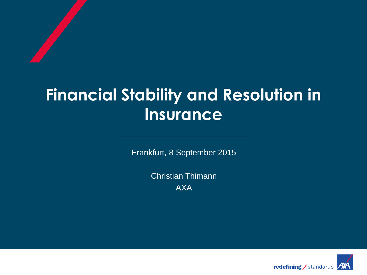# **Financial Stability and Resolution in Insurance**

Frankfurt, 8 September 2015

Christian Thimann AXA

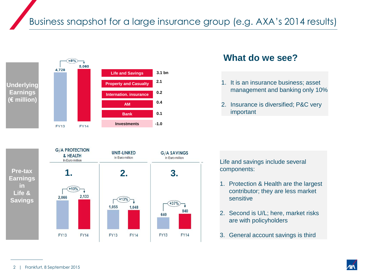

#### **What do we see?**

- 1. It is an insurance business; asset management and banking only 10%
- 2. Insurance is diversified; P&C very important



Life and savings include several components:

- 1. Protection & Health are the largest contributor; they are less market sensitive
- 2. Second is U/L; here, market risks are with policyholders
- 3. General account savings is third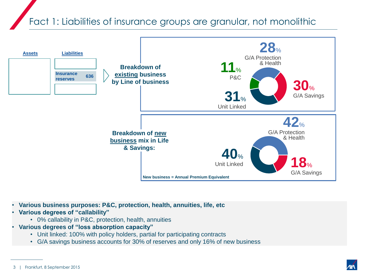Fact 1: Liabilities of insurance groups are granular, not monolithic



- **Various business purposes: P&C, protection, health, annuities, life, etc**
- **Various degrees of "callability"**
	- 0% callability in P&C, protection, health, annuities
- **Various degrees of "loss absorption capacity"**
	- Unit linked: 100% with policy holders, partial for participating contracts
	- G/A savings business accounts for 30% of reserves and only 16% of new business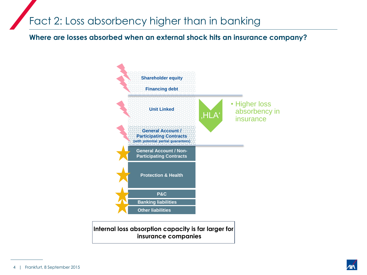## Fact 2: Loss absorbency higher than in banking

**Where are losses absorbed when an external shock hits an insurance company?**



**Internal loss absorption capacity is far larger for insurance companies**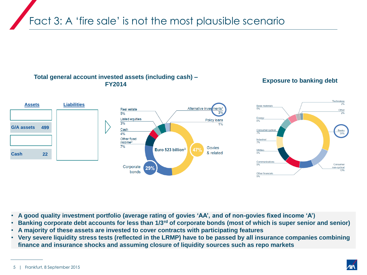Fact 3: A 'fire sale' is not the most plausible scenario

#### **Total general account invested assets (including cash) – FY2014 Exposure to banking debt**



- **A good quality investment portfolio (average rating of govies 'AA', and of non-govies fixed income 'A')**
- **Banking corporate debt accounts for less than 1/3rd of corporate bonds (most of which is super senior and senior)**
- **A majority of these assets are invested to cover contracts with participating features**
- **Very severe liquidity stress tests (reflected in the LRMP) have to be passed by all insurance companies combining finance and insurance shocks and assuming closure of liquidity sources such as repo markets**

<sup>5 |</sup> Frankfurt, 8 September 2015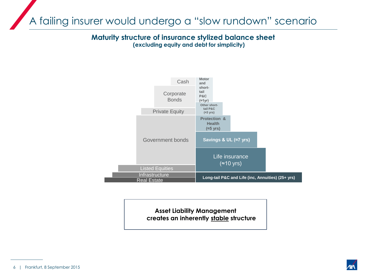A failing insurer would undergo a "slow rundown" scenario

**Maturity structure of insurance stylized balance sheet (excluding equity and debt for simplicity)**



**Asset Liability Management creates an inherently stable structure**

<sup>6 |</sup> Frankfurt, 8 September 2015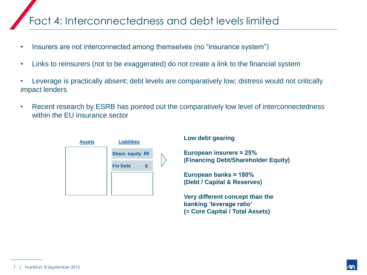## Fact 4: Interconnectedness and debt levels limited

- Insurers are not interconnected among themselves (no "insurance system")
- Links to reinsurers (not to be exaggerated) do not create a link to the financial system
- Leverage is practically absent; debt levels are comparatively low; distress would not critically impact lenders
- Recent research by ESRB has pointed out the comparatively low level of interconnectedness within the EU insurance sector



#### **Low debt gearing**

**European insurers ≈ 25% (Financing Debt/Shareholder Equity)**

**European banks ≈ 180% (Debt / Capital & Reserves)**

**Very different concept than the banking 'leverage ratio' (= Core Capital / Total Assets)**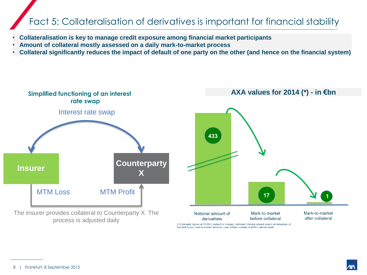### Fact 5: Collateralisation of derivatives is important for financial stability

- **Collateralisation is key to manage credit exposure among financial market participants**
- **Amount of collateral mostly assessed on a daily mark-to-market process**
- **Collateral significantly reduces the impact of default of one party on the other (and hence on the financial system)**

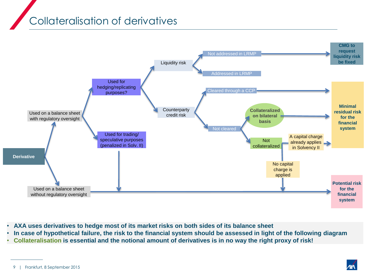## Collateralisation of derivatives



- **AXA uses derivatives to hedge most of its market risks on both sides of its balance sheet**
- **In case of hypothetical failure, the risk to the financial system should be assessed in light of the following diagram**
- **Collateralisation is essential and the notional amount of derivatives is in no way the right proxy of risk!**